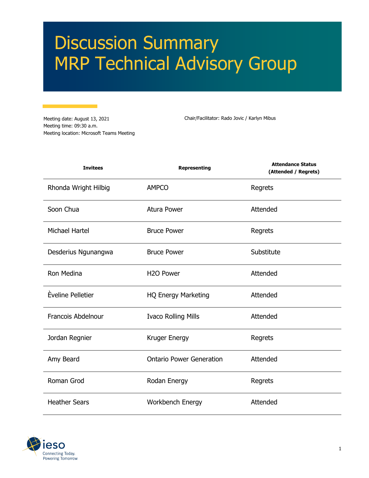# Discussion Summary MRP Technical Advisory Group

Meeting date: August 13, 2021 Meeting time: 09:30 a.m. Meeting location: Microsoft Teams Meeting

Chair/Facilitator: Rado Jovic / Karlyn Mibus

| <b>Invitees</b>           | <b>Representing</b>             | <b>Attendance Status</b><br>(Attended / Regrets) |
|---------------------------|---------------------------------|--------------------------------------------------|
| Rhonda Wright Hilbig      | <b>AMPCO</b>                    | Regrets                                          |
| Soon Chua                 | <b>Atura Power</b>              | Attended                                         |
| <b>Michael Hartel</b>     | <b>Bruce Power</b>              | Regrets                                          |
| Desderius Ngunangwa       | <b>Bruce Power</b>              | Substitute                                       |
| Ron Medina                | H <sub>2</sub> O Power          | Attended                                         |
| Èveline Pelletier         | <b>HQ Energy Marketing</b>      | Attended                                         |
| <b>Francois Abdelnour</b> | <b>Ivaco Rolling Mills</b>      | Attended                                         |
| Jordan Regnier            | Kruger Energy                   | Regrets                                          |
| Amy Beard                 | <b>Ontario Power Generation</b> | Attended                                         |
| Roman Grod                | Rodan Energy                    | Regrets                                          |
| <b>Heather Sears</b>      | Workbench Energy                | Attended                                         |

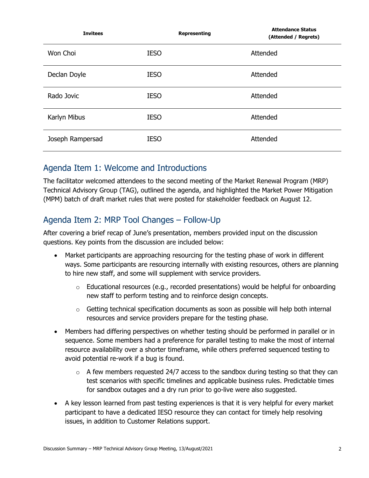| <b>Invitees</b>  | Representing | <b>Attendance Status</b><br>(Attended / Regrets) |
|------------------|--------------|--------------------------------------------------|
| Won Choi         | <b>IESO</b>  | Attended                                         |
| Declan Doyle     | <b>IESO</b>  | Attended                                         |
| Rado Jovic       | <b>IESO</b>  | Attended                                         |
| Karlyn Mibus     | <b>IESO</b>  | Attended                                         |
| Joseph Rampersad | <b>IESO</b>  | Attended                                         |

#### Agenda Item 1: Welcome and Introductions

The facilitator welcomed attendees to the second meeting of the Market Renewal Program (MRP) Technical Advisory Group (TAG), outlined the agenda, and highlighted the Market Power Mitigation (MPM) batch of draft market rules that were posted for stakeholder feedback on August 12.

## Agenda Item 2: MRP Tool Changes – Follow-Up

After covering a brief recap of June's presentation, members provided input on the discussion questions. Key points from the discussion are included below:

- Market participants are approaching resourcing for the testing phase of work in different ways. Some participants are resourcing internally with existing resources, others are planning to hire new staff, and some will supplement with service providers.
	- $\circ$  Educational resources (e.g., recorded presentations) would be helpful for onboarding new staff to perform testing and to reinforce design concepts.
	- $\circ$  Getting technical specification documents as soon as possible will help both internal resources and service providers prepare for the testing phase.
- Members had differing perspectives on whether testing should be performed in parallel or in sequence. Some members had a preference for parallel testing to make the most of internal resource availability over a shorter timeframe, while others preferred sequenced testing to avoid potential re-work if a bug is found.
	- $\circ$  A few members requested 24/7 access to the sandbox during testing so that they can test scenarios with specific timelines and applicable business rules. Predictable times for sandbox outages and a dry run prior to go-live were also suggested.
- A key lesson learned from past testing experiences is that it is very helpful for every market participant to have a dedicated IESO resource they can contact for timely help resolving issues, in addition to Customer Relations support.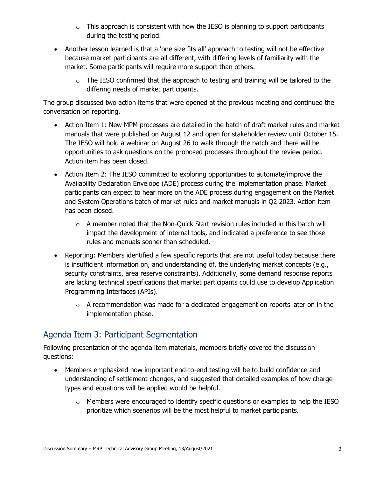- $\circ$  This approach is consistent with how the IESO is planning to support participants during the testing period.
- Another lesson learned is that a 'one size fits all' approach to testing will not be effective because market participants are all different, with differing levels of familiarity with the market. Some participants will require more support than others.
	- $\circ$  The IESO confirmed that the approach to testing and training will be tailored to the differing needs of market participants.

The group discussed two action items that were opened at the previous meeting and continued the conversation on reporting.

- Action Item 1: New MPM processes are detailed in the batch of draft market rules and market manuals that were published on August 12 and open for stakeholder review until October 15. The IESO will hold a webinar on August 26 to walk through the batch and there will be opportunities to ask questions on the proposed processes throughout the review period. Action item has been closed.
- Action Item 2: The IESO committed to exploring opportunities to automate/improve the Availability Declaration Envelope (ADE) process during the implementation phase. Market participants can expect to hear more on the ADE process during engagement on the Market and System Operations batch of market rules and market manuals in Q2 2023. Action item has been closed.
	- $\circ$  A member noted that the Non-Quick Start revision rules included in this batch will impact the development of internal tools, and indicated a preference to see those rules and manuals sooner than scheduled.
- Reporting: Members identified a few specific reports that are not useful today because there is insufficient information on, and understanding of, the underlying market concepts (e.g., security constraints, area reserve constraints). Additionally, some demand response reports are lacking technical specifications that market participants could use to develop Application Programming Interfaces (APIs).
	- o A recommendation was made for a dedicated engagement on reports later on in the implementation phase.

## Agenda Item 3: Participant Segmentation

Following presentation of the agenda item materials, members briefly covered the discussion questions:

- Members emphasized how important end-to-end testing will be to build confidence and understanding of settlement changes, and suggested that detailed examples of how charge types and equations will be applied would be helpful.
	- o Members were encouraged to identify specific questions or examples to help the IESO prioritize which scenarios will be the most helpful to market participants.